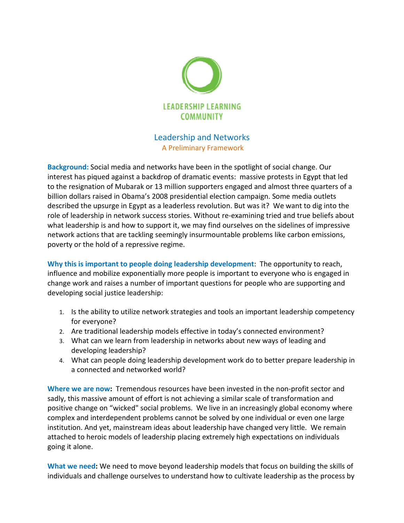

## Leadership and Networks A Preliminary Framework

Background: Social media and networks have been in the spotlight of social change. Our interest has piqued against a backdrop of dramatic events: massive protests in Egypt that led to the resignation of Mubarak or 13 million supporters engaged and almost three billion dollars raised in Obama's 2008 presidential election campaign. Some media outlets described the upsurge in Egypt as a leaderless revolution. But was it? We want to dig into the role of leadership in network success stories. Without re-examining tried and true beliefs about role of leadership in network success stories. Without re-examining tried and true beliefs abou<br>what leadership is and how to support it, we may find ourselves on the sidelines of impressive network actions that are tackling seemingly insurmountable problems like carbon emissions, poverty or the hold of a repressive regime. network actions that are tackling seemingly insurmountable problems like carbon emissions,<br>poverty or the hold of a repressive regime.<br>Why this is important to people doing leadership development: The opportunity to reach, iqued against a backdrop of dramatic events: massive protests in Egypt that led<br>
rion of Mubarak or 13 million supporters engaged and almost three quarters<br>
rions of a crassing and the stress for a crassing and the crassin

influence and mobilize exponentially more people is important to everyone who is engaged in influence and mobilize exponentially more people is important to everyone who is engaged in<br>change work and raises a number of important questions for people who are supporting and developing social justice leadership:

- 1. Is the ability to utilize network strategies and tools an important leadership competency for everyone? for people who are supportir<br>an important leadership con<br>y's connected environment?
- 2. Are traditional leadership models effective in today's connected environment
- 3. What can we learn from leadership in networks about new ways of leading and developing leadership?
- 4. What can people doing leadership development work do to better prepare leadership in a connected and networked world?

Where we are now: Tremendous resources have been invested in the non-profit sector and sadly, this massive amount of effort is not achieving a similar scale of transformation and sadly, this massive amount of effort is not achieving a similar scale of transformation and<br>positive change on "wicked" social problems. We live in an increasingly global economy where complex and interdependent problems cannot be solved by one individual or even one large institution. And yet, mainstream ideas about leadership have changed very little. We remain attached to heroic models of leadership placing extremely high expectations on individuals going it alone. ave been invested in the non-profit sector and<br>ieving a similar scale of transformation and<br>We live in an increasingly global economy wher<br>: be solved by one individual or even one large<br>eadership have changed very little.

What we need: We need to move beyond leadership models that focus on building the skills of individuals and challenge ourselves to understand how to cultivate leadership as the process by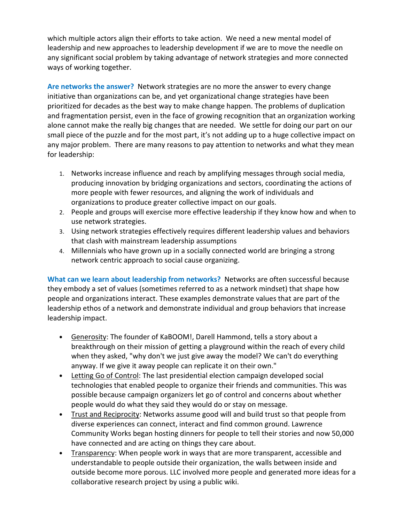which multiple actors align their efforts to take action. We need a new mental model of leadership and new approaches to leadership development if we are to move the needle on any significant social problem by taking advantage of network strategies and more connected ways of working together.

Are networks the answer? Network strategies are no more the answer to every change initiative than organizations can be, and yet organizational change strategies have been prioritized for decades as the best way to make change happen. The problems of duplication and fragmentation persist, even in the face of growing recognition that an organization working alone cannot make the really big changes that are needed. We settle for doing our part on our small piece of the puzzle and for the most part, it's not adding up to a huge collective impact on any major problem. There are many reasons to pay attention to networks and what they mean for leadership:

- 1. Networks increase influence and reach by amplifying messages through social media, producing innovation by bridging organizations and sectors, coordinating the actions of more people with fewer resources, and aligning the work of individuals and organizations to produce greater collective impact on our goals.
- 2. People and groups will exercise more effective leadership if they know how and when to use network strategies.
- 3. Using network strategies effectively requires different leadership values and behaviors that clash with mainstream leadership assumptions
- 4. Millennials who have grown up in a socially connected world are bringing a strong network centric approach to social cause organizing.

What can we learn about leadership from networks? Networks are often successful because they embody a set of values (sometimes referred to as a network mindset) that shape how people and organizations interact. These examples demonstrate values that are part of the leadership ethos of a network and demonstrate individual and group behaviors that increase leadership impact.

- Generosity: The founder of KaBOOM!, Darell Hammond, tells a story about a breakthrough on their mission of getting a playground within the reach of every child when they asked, "why don't we just give away the model? We can't do everything anyway. If we give it away people can replicate it on their own."
- Letting Go of Control: The last presidential election campaign developed social technologies that enabled people to organize their friends and communities. This was possible because campaign organizers let go of control and concerns about whether people would do what they said they would do or stay on message.
- Trust and Reciprocity: Networks assume good will and build trust so that people from diverse experiences can connect, interact and find common ground. Lawrence Community Works began hosting dinners for people to tell their stories and now 50,000 have connected and are acting on things they care about.
- Transparency: When people work in ways that are more transparent, accessible and understandable to people outside their organization, the walls between inside and outside become more porous. LLC involved more people and generated more ideas for a collaborative research project by using a public wiki.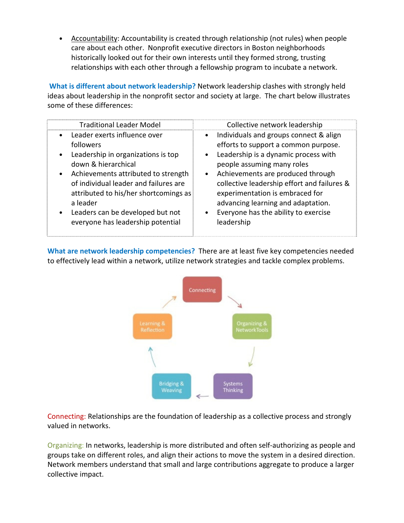• Accountability: Accountability is created through relationship (not rules) when people care about each other. Nonprofit executive directors in Boston neighborhoods historically looked out for their own interests until they formed strong, trusting relationships with each other through a fellowship program to incubate a network.

What is different about network leadership? Network leadership clashes with strongly held ideas about leadership in the nonprofit sector and society at large. The chart below illustrates some of these differences:

| <b>Traditional Leader Model</b>                                                                                                                                                                                                                                                                                                                | Collective network leadership                                                                                                                                                                                                                                                                                                                                                                                               |
|------------------------------------------------------------------------------------------------------------------------------------------------------------------------------------------------------------------------------------------------------------------------------------------------------------------------------------------------|-----------------------------------------------------------------------------------------------------------------------------------------------------------------------------------------------------------------------------------------------------------------------------------------------------------------------------------------------------------------------------------------------------------------------------|
| Leader exerts influence over<br>$\bullet$<br>followers<br>Leadership in organizations is top<br>down & hierarchical<br>Achievements attributed to strength<br>$\bullet$<br>of individual leader and failures are<br>attributed to his/her shortcomings as<br>a leader<br>Leaders can be developed but not<br>everyone has leadership potential | Individuals and groups connect & align<br>$\bullet$<br>efforts to support a common purpose.<br>Leadership is a dynamic process with<br>$\bullet$<br>people assuming many roles<br>Achievements are produced through<br>$\bullet$<br>collective leadership effort and failures &<br>experimentation is embraced for<br>advancing learning and adaptation.<br>Everyone has the ability to exercise<br>$\bullet$<br>leadership |

What are network leadership competencies? There are at least five key competencies needed to effectively lead within a network, utilize network strategies and tackle complex problems.



Connecting: Relationships are the foundation of leadership as a collective process and strongly valued in networks.

Organizing: In networks, leadership is more distributed and often self-authorizing as people and groups take on different roles, and align their actions to move the system in a desired direction. Network members understand that small and large contributions aggregate to produce a larger collective impact.